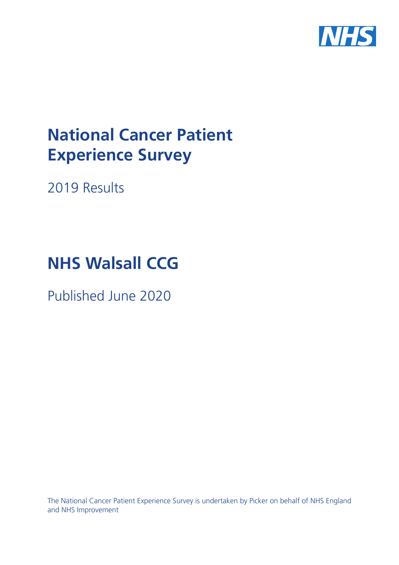

# **National Cancer Patient Experience Survey**

2019 Results

# **NHS Walsall CCG**

Published June 2020

The National Cancer Patient Experience Survey is undertaken by Picker on behalf of NHS England and NHS Improvement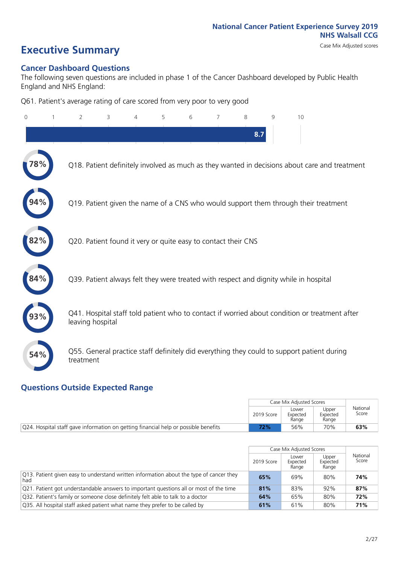# **Executive Summary** Case Mix Adjusted scores

### **Cancer Dashboard Questions**

The following seven questions are included in phase 1 of the Cancer Dashboard developed by Public Health England and NHS England:

Q61. Patient's average rating of care scored from very poor to very good

| 0   | $\overline{2}$                                                | 3 | 4 | 5 | 6 | $\overline{7}$ | 8   | 9 | 10                                                                                            |
|-----|---------------------------------------------------------------|---|---|---|---|----------------|-----|---|-----------------------------------------------------------------------------------------------|
|     |                                                               |   |   |   |   |                | 8.7 |   |                                                                                               |
|     |                                                               |   |   |   |   |                |     |   | Q18. Patient definitely involved as much as they wanted in decisions about care and treatment |
|     |                                                               |   |   |   |   |                |     |   | Q19. Patient given the name of a CNS who would support them through their treatment           |
| 2%  | Q20. Patient found it very or quite easy to contact their CNS |   |   |   |   |                |     |   |                                                                                               |
|     |                                                               |   |   |   |   |                |     |   | Q39. Patient always felt they were treated with respect and dignity while in hospital         |
|     | leaving hospital                                              |   |   |   |   |                |     |   | Q41. Hospital staff told patient who to contact if worried about condition or treatment after |
| 54% | treatment                                                     |   |   |   |   |                |     |   | Q55. General practice staff definitely did everything they could to support patient during    |

### **Questions Outside Expected Range**

|                                                                                     |            | Case Mix Adjusted Scores   |                            |                   |
|-------------------------------------------------------------------------------------|------------|----------------------------|----------------------------|-------------------|
|                                                                                     | 2019 Score | Lower<br>Expected<br>Range | Upper<br>Expected<br>Range | National<br>Score |
| Q24. Hospital staff gave information on getting financial help or possible benefits | '2%        | 56%                        | 70%                        | 63%               |

|                                                                                                          |            | Case Mix Adjusted Scores   |                            |                   |
|----------------------------------------------------------------------------------------------------------|------------|----------------------------|----------------------------|-------------------|
|                                                                                                          | 2019 Score | Lower<br>Expected<br>Range | Upper<br>Expected<br>Range | National<br>Score |
| $\sqrt{Q}$ 13. Patient given easy to understand written information about the type of cancer they<br>had | 65%        | 69%                        | 80%                        | 74%               |
| Q21. Patient got understandable answers to important questions all or most of the time                   | 81%        | 83%                        | 92%                        | 87%               |
| Q32. Patient's family or someone close definitely felt able to talk to a doctor                          | 64%        | 65%                        | 80%                        | 72%               |
| Q35. All hospital staff asked patient what name they prefer to be called by                              | 61%        | 61%                        | 80%                        | 71%               |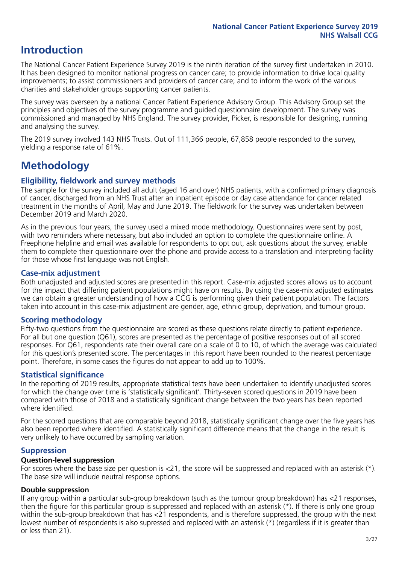### **Introduction**

The National Cancer Patient Experience Survey 2019 is the ninth iteration of the survey first undertaken in 2010. It has been designed to monitor national progress on cancer care; to provide information to drive local quality improvements; to assist commissioners and providers of cancer care; and to inform the work of the various charities and stakeholder groups supporting cancer patients.

The survey was overseen by a national Cancer Patient Experience Advisory Group. This Advisory Group set the principles and objectives of the survey programme and guided questionnaire development. The survey was commissioned and managed by NHS England. The survey provider, Picker, is responsible for designing, running and analysing the survey.

The 2019 survey involved 143 NHS Trusts. Out of 111,366 people, 67,858 people responded to the survey, yielding a response rate of 61%.

### **Methodology**

### **Eligibility, fieldwork and survey methods**

The sample for the survey included all adult (aged 16 and over) NHS patients, with a confirmed primary diagnosis of cancer, discharged from an NHS Trust after an inpatient episode or day case attendance for cancer related treatment in the months of April, May and June 2019. The fieldwork for the survey was undertaken between December 2019 and March 2020.

As in the previous four years, the survey used a mixed mode methodology. Questionnaires were sent by post, with two reminders where necessary, but also included an option to complete the questionnaire online. A Freephone helpline and email was available for respondents to opt out, ask questions about the survey, enable them to complete their questionnaire over the phone and provide access to a translation and interpreting facility for those whose first language was not English.

### **Case-mix adjustment**

Both unadjusted and adjusted scores are presented in this report. Case-mix adjusted scores allows us to account for the impact that differing patient populations might have on results. By using the case-mix adjusted estimates we can obtain a greater understanding of how a CCG is performing given their patient population. The factors taken into account in this case-mix adjustment are gender, age, ethnic group, deprivation, and tumour group.

### **Scoring methodology**

Fifty-two questions from the questionnaire are scored as these questions relate directly to patient experience. For all but one question (Q61), scores are presented as the percentage of positive responses out of all scored responses. For Q61, respondents rate their overall care on a scale of 0 to 10, of which the average was calculated for this question's presented score. The percentages in this report have been rounded to the nearest percentage point. Therefore, in some cases the figures do not appear to add up to 100%.

### **Statistical significance**

In the reporting of 2019 results, appropriate statistical tests have been undertaken to identify unadjusted scores for which the change over time is 'statistically significant'. Thirty-seven scored questions in 2019 have been compared with those of 2018 and a statistically significant change between the two years has been reported where identified.

For the scored questions that are comparable beyond 2018, statistically significant change over the five years has also been reported where identified. A statistically significant difference means that the change in the result is very unlikely to have occurred by sampling variation.

### **Suppression**

### **Question-level suppression**

For scores where the base size per question is  $<$ 21, the score will be suppressed and replaced with an asterisk (\*). The base size will include neutral response options.

### **Double suppression**

If any group within a particular sub-group breakdown (such as the tumour group breakdown) has <21 responses, then the figure for this particular group is suppressed and replaced with an asterisk (\*). If there is only one group within the sub-group breakdown that has <21 respondents, and is therefore suppressed, the group with the next lowest number of respondents is also supressed and replaced with an asterisk (\*) (regardless if it is greater than or less than 21).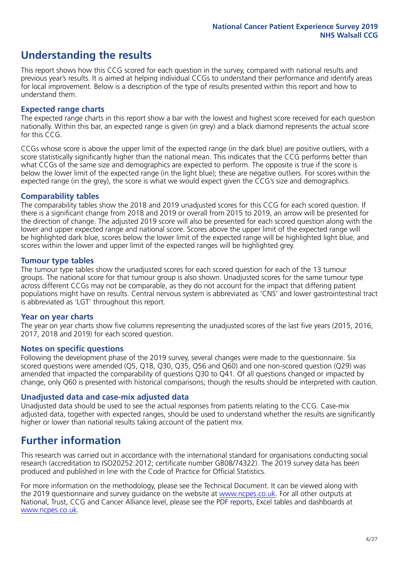### **Understanding the results**

This report shows how this CCG scored for each question in the survey, compared with national results and previous year's results. It is aimed at helping individual CCGs to understand their performance and identify areas for local improvement. Below is a description of the type of results presented within this report and how to understand them.

### **Expected range charts**

The expected range charts in this report show a bar with the lowest and highest score received for each question nationally. Within this bar, an expected range is given (in grey) and a black diamond represents the actual score for this CCG.

CCGs whose score is above the upper limit of the expected range (in the dark blue) are positive outliers, with a score statistically significantly higher than the national mean. This indicates that the CCG performs better than what CCGs of the same size and demographics are expected to perform. The opposite is true if the score is below the lower limit of the expected range (in the light blue); these are negative outliers. For scores within the expected range (in the grey), the score is what we would expect given the CCG's size and demographics.

### **Comparability tables**

The comparability tables show the 2018 and 2019 unadjusted scores for this CCG for each scored question. If there is a significant change from 2018 and 2019 or overall from 2015 to 2019, an arrow will be presented for the direction of change. The adjusted 2019 score will also be presented for each scored question along with the lower and upper expected range and national score. Scores above the upper limit of the expected range will be highlighted dark blue, scores below the lower limit of the expected range will be highlighted light blue, and scores within the lower and upper limit of the expected ranges will be highlighted grey.

### **Tumour type tables**

The tumour type tables show the unadjusted scores for each scored question for each of the 13 tumour groups. The national score for that tumour group is also shown. Unadjusted scores for the same tumour type across different CCGs may not be comparable, as they do not account for the impact that differing patient populations might have on results. Central nervous system is abbreviated as 'CNS' and lower gastrointestinal tract is abbreviated as 'LGT' throughout this report.

### **Year on year charts**

The year on year charts show five columns representing the unadjusted scores of the last five years (2015, 2016, 2017, 2018 and 2019) for each scored question.

#### **Notes on specific questions**

Following the development phase of the 2019 survey, several changes were made to the questionnaire. Six scored questions were amended (Q5, Q18, Q30, Q35, Q56 and Q60) and one non-scored question (Q29) was amended that impacted the comparability of questions Q30 to Q41. Of all questions changed or impacted by change, only Q60 is presented with historical comparisons; though the results should be interpreted with caution.

### **Unadjusted data and case-mix adjusted data**

Unadjusted data should be used to see the actual responses from patients relating to the CCG. Case-mix adjusted data, together with expected ranges, should be used to understand whether the results are significantly higher or lower than national results taking account of the patient mix.

### **Further information**

This research was carried out in accordance with the international standard for organisations conducting social research (accreditation to ISO20252:2012; certificate number GB08/74322). The 2019 survey data has been produced and published in line with the Code of Practice for Official Statistics.

For more information on the methodology, please see the Technical Document. It can be viewed along with the 2019 questionnaire and survey quidance on the website at [www.ncpes.co.uk](https://www.ncpes.co.uk/supporting-documents). For all other outputs at National, Trust, CCG and Cancer Alliance level, please see the PDF reports, Excel tables and dashboards at [www.ncpes.co.uk.](https://www.ncpes.co.uk/current-results)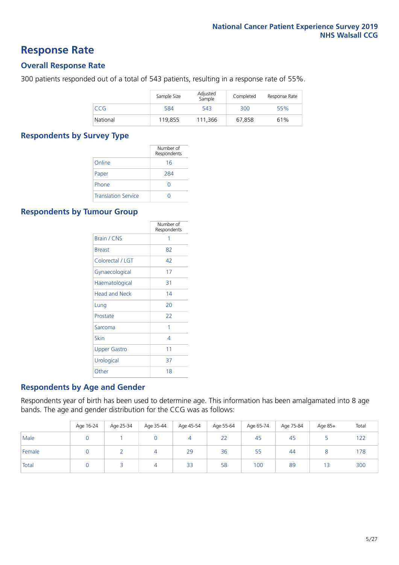### **Response Rate**

### **Overall Response Rate**

300 patients responded out of a total of 543 patients, resulting in a response rate of 55%.

|          | Sample Size | Adjusted<br>Sample | Completed | Response Rate |
|----------|-------------|--------------------|-----------|---------------|
| CCG      | 584         | 543                | 300       | 55%           |
| National | 119,855     | 111.366            | 67,858    | 61%           |

### **Respondents by Survey Type**

|                            | Number of<br>Respondents |
|----------------------------|--------------------------|
| Online                     | 16                       |
| Paper                      | 284                      |
| Phone                      |                          |
| <b>Translation Service</b> |                          |

### **Respondents by Tumour Group**

|                      | Number of<br>Respondents |
|----------------------|--------------------------|
| <b>Brain / CNS</b>   | 1                        |
| <b>Breast</b>        | 82                       |
| Colorectal / LGT     | 42                       |
| Gynaecological       | 17                       |
| Haematological       | 31                       |
| <b>Head and Neck</b> | 14                       |
| Lung                 | 20                       |
| Prostate             | 22                       |
| Sarcoma              | 1                        |
| Skin                 | 4                        |
| Upper Gastro         | 11                       |
| Urological           | 37                       |
| Other                | 18                       |

### **Respondents by Age and Gender**

Respondents year of birth has been used to determine age. This information has been amalgamated into 8 age bands. The age and gender distribution for the CCG was as follows:

|        | Age 16-24 | Age 25-34 | Age 35-44 | Age 45-54 | Age 55-64 | Age 65-74 | Age 75-84 | Age 85+ | Total |
|--------|-----------|-----------|-----------|-----------|-----------|-----------|-----------|---------|-------|
| Male   |           |           |           | 4         | 22        | 45        | 45        |         | 122   |
| Female |           |           | 4         | 29        | 36        | 55        | 44        |         | 178   |
| Total  |           |           | 4         | 33        | 58        | 100       | 89        | 13      | 300   |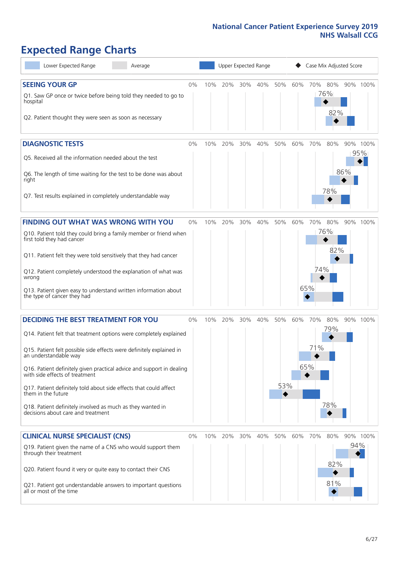# **Expected Range Charts**

| Lower Expected Range<br>Average                                                                                                                                                                                                                                                                                                                                                                                                                                                                                             | Upper Expected Range<br>Case Mix Adjusted Score |     |     |     |     |            |     |                   |                   |     |                 |
|-----------------------------------------------------------------------------------------------------------------------------------------------------------------------------------------------------------------------------------------------------------------------------------------------------------------------------------------------------------------------------------------------------------------------------------------------------------------------------------------------------------------------------|-------------------------------------------------|-----|-----|-----|-----|------------|-----|-------------------|-------------------|-----|-----------------|
| <b>SEEING YOUR GP</b><br>Q1. Saw GP once or twice before being told they needed to go to<br>hospital<br>Q2. Patient thought they were seen as soon as necessary                                                                                                                                                                                                                                                                                                                                                             | $0\%$                                           | 10% | 20% | 30% | 40% | 50%        | 60% | 70%               | 80%<br>76%<br>82% |     | 90% 100%        |
| <b>DIAGNOSTIC TESTS</b><br>Q5. Received all the information needed about the test<br>Q6. The length of time waiting for the test to be done was about<br>right<br>Q7. Test results explained in completely understandable way                                                                                                                                                                                                                                                                                               | 0%                                              | 10% | 20% | 30% | 40% | 50%        | 60% | 70%               | 80%<br>78%        | 86% | 90% 100%<br>95% |
| <b>FINDING OUT WHAT WAS WRONG WITH YOU</b><br>Q10. Patient told they could bring a family member or friend when<br>first told they had cancer<br>Q11. Patient felt they were told sensitively that they had cancer<br>Q12. Patient completely understood the explanation of what was<br>wrong<br>Q13. Patient given easy to understand written information about<br>the type of cancer they had                                                                                                                             | 0%                                              | 10% | 20% | 30% | 40% | 50%        | 60% | 70%<br>74%<br>65% | 80%<br>76%<br>82% | 90% | 100%            |
| <b>DECIDING THE BEST TREATMENT FOR YOU</b><br>Q14. Patient felt that treatment options were completely explained<br>Q15. Patient felt possible side effects were definitely explained in<br>an understandable way<br>Q16. Patient definitely given practical advice and support in dealing<br>with side effects of treatment<br>Q17. Patient definitely told about side effects that could affect<br>them in the future<br>Q18. Patient definitely involved as much as they wanted in<br>decisions about care and treatment | 0%                                              | 10% | 20% | 30% | 40% | 50%<br>53% | 60% | 70%<br>71%<br>65% | 80%<br>79%<br>78% |     | 90% 100%        |
| <b>CLINICAL NURSE SPECIALIST (CNS)</b><br>Q19. Patient given the name of a CNS who would support them<br>through their treatment<br>Q20. Patient found it very or quite easy to contact their CNS<br>Q21. Patient got understandable answers to important questions<br>all or most of the time                                                                                                                                                                                                                              | $0\%$                                           | 10% | 20% | 30% | 40% | 50%        | 60% | 70%               | 80%<br>82%<br>81% | 94% | 90% 100%        |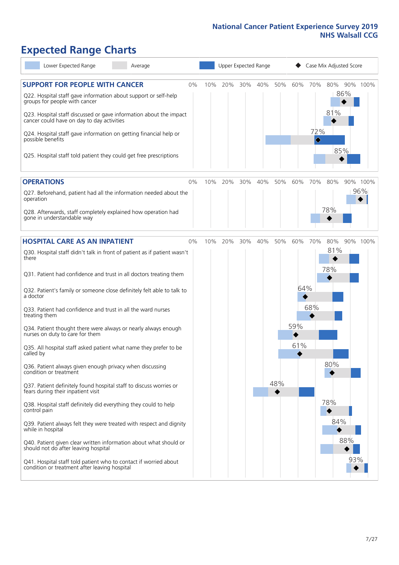# **Expected Range Charts**

| Lower Expected Range<br>Average                                                                                                                                                                                       |     | Upper Expected Range |     |     |     |     | Case Mix Adjusted Score             |                   |                 |  |  |
|-----------------------------------------------------------------------------------------------------------------------------------------------------------------------------------------------------------------------|-----|----------------------|-----|-----|-----|-----|-------------------------------------|-------------------|-----------------|--|--|
| <b>SUPPORT FOR PEOPLE WITH CANCER</b><br>0%<br>Q22. Hospital staff gave information about support or self-help<br>groups for people with cancer<br>Q23. Hospital staff discussed or gave information about the impact | 10% | 20%                  | 30% | 40% | 50% | 60% | 70%                                 | 80%<br>86%<br>81% | 90% 100%        |  |  |
| cancer could have on day to day activities<br>Q24. Hospital staff gave information on getting financial help or<br>possible benefits<br>Q25. Hospital staff told patient they could get free prescriptions            |     |                      |     |     |     |     | 72%<br>$\color{black} \diamondsuit$ | 85%               |                 |  |  |
| <b>OPERATIONS</b><br>$0\%$                                                                                                                                                                                            | 10% | 20%                  | 30% | 40% | 50% | 60% | 70%                                 | 80%               | 90% 100%<br>96% |  |  |
| Q27. Beforehand, patient had all the information needed about the<br>operation<br>Q28. Afterwards, staff completely explained how operation had<br>gone in understandable way                                         |     |                      |     |     |     |     |                                     | 78%               |                 |  |  |
| <b>HOSPITAL CARE AS AN INPATIENT</b><br>0%                                                                                                                                                                            | 10% | 20%                  | 30% | 40% | 50% | 60% | 70%                                 | 80%               | 90% 100%        |  |  |
| Q30. Hospital staff didn't talk in front of patient as if patient wasn't<br>there                                                                                                                                     |     |                      |     |     |     |     |                                     | 81%               |                 |  |  |
| Q31. Patient had confidence and trust in all doctors treating them                                                                                                                                                    |     |                      |     |     |     |     |                                     | 78%               |                 |  |  |
| Q32. Patient's family or someone close definitely felt able to talk to<br>a doctor                                                                                                                                    |     |                      |     |     |     | 64% |                                     |                   |                 |  |  |
| Q33. Patient had confidence and trust in all the ward nurses<br>treating them                                                                                                                                         |     |                      |     |     |     |     | 68%                                 |                   |                 |  |  |
| Q34. Patient thought there were always or nearly always enough<br>nurses on duty to care for them                                                                                                                     |     |                      |     |     |     | 59% |                                     |                   |                 |  |  |
| Q35. All hospital staff asked patient what name they prefer to be<br>called by                                                                                                                                        |     |                      |     |     |     | 61% |                                     |                   |                 |  |  |
| Q36. Patient always given enough privacy when discussing<br>condition or treatment                                                                                                                                    |     |                      |     |     |     |     |                                     | 80%               |                 |  |  |
| Q37. Patient definitely found hospital staff to discuss worries or<br>fears during their inpatient visit                                                                                                              |     |                      |     |     | 48% |     |                                     |                   |                 |  |  |
| Q38. Hospital staff definitely did everything they could to help<br>control pain                                                                                                                                      |     |                      |     |     |     |     |                                     | 78%               |                 |  |  |
| Q39. Patient always felt they were treated with respect and dignity<br>while in hospital                                                                                                                              |     |                      |     |     |     |     |                                     | 84%               |                 |  |  |
| Q40. Patient given clear written information about what should or<br>should not do after leaving hospital                                                                                                             |     |                      |     |     |     |     |                                     | 88%               |                 |  |  |
| Q41. Hospital staff told patient who to contact if worried about<br>condition or treatment after leaving hospital                                                                                                     |     |                      |     |     |     |     |                                     |                   | 93%             |  |  |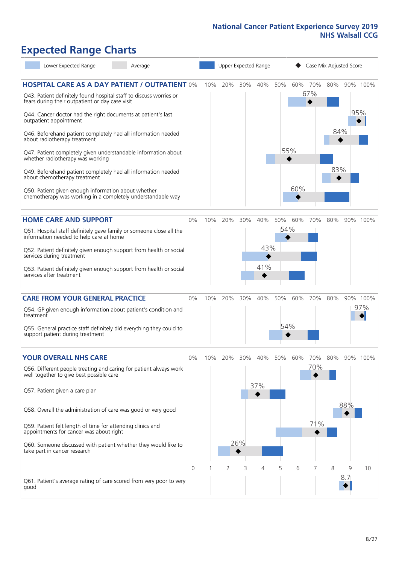### **Expected Range Charts**

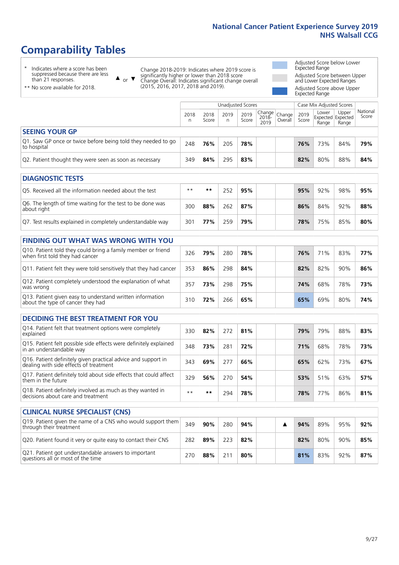# **Comparability Tables**

\* Indicates where a score has been suppressed because there are less than 21 responses.

\*\* No score available for 2018.

 $\triangle$  or  $\nabla$ 

Change 2018-2019: Indicates where 2019 score is significantly higher or lower than 2018 score Change Overall: Indicates significant change overall (2015, 2016, 2017, 2018 and 2019).

Adjusted Score below Lower Expected Range Adjusted Score between Upper and Lower Expected Ranges Adjusted Score above Upper

Expected Range

|                                                                             |           |               | <b>Unadjusted Scores</b> |               |                                               |         |               | Case Mix Adjusted Scores |                                     |                   |
|-----------------------------------------------------------------------------|-----------|---------------|--------------------------|---------------|-----------------------------------------------|---------|---------------|--------------------------|-------------------------------------|-------------------|
|                                                                             | 2018<br>n | 2018<br>Score | 2019<br>n                | 2019<br>Score | $\sqrt{Change} _{Change}$<br>$2018 -$<br>2019 | Overall | 2019<br>Score | Lower<br>Range           | Upper<br>Expected Expected<br>Range | National<br>Score |
| <b>SEEING YOUR GP</b>                                                       |           |               |                          |               |                                               |         |               |                          |                                     |                   |
| Q1. Saw GP once or twice before being told they needed to go<br>to hospital | 248       | 76%           | 205                      | 78%           |                                               |         | 76%           | 73%                      | 84%                                 | 79%               |
| Q2. Patient thought they were seen as soon as necessary                     | 349       | 84%           | 295                      | 83%           |                                               |         | 82%           | 80%                      | 88%                                 | 84%               |
| <b>DIAGNOSTIC TESTS</b>                                                     |           |               |                          |               |                                               |         |               |                          |                                     |                   |
|                                                                             |           |               |                          |               |                                               |         |               |                          |                                     |                   |
| O5. Received all the information needed about the test                      | $***$     | **            | 252                      | 95%           |                                               |         | 95%           | 92%                      | 98%                                 | 95%               |

| O5. Received all the information needed about the test                    | $***$ | **  | 252 | 95% |  | 95% | 92% | 98% | 95% |
|---------------------------------------------------------------------------|-------|-----|-----|-----|--|-----|-----|-----|-----|
| Q6. The length of time waiting for the test to be done was<br>about right | 300   | 88% | 262 | 87% |  | 86% | 84% | 92% | 88% |
| Q7. Test results explained in completely understandable way               | 301   | 77% | 259 | 79% |  | 78% | 75% | 85% | 80% |

| <b>FINDING OUT WHAT WAS WRONG WITH YOU</b>                                                      |     |     |     |     |  |     |     |     |     |  |  |
|-------------------------------------------------------------------------------------------------|-----|-----|-----|-----|--|-----|-----|-----|-----|--|--|
| Q10. Patient told they could bring a family member or friend<br>when first told they had cancer | 326 | 79% | 280 | 78% |  | 76% | 71% | 83% | 77% |  |  |
| Q11. Patient felt they were told sensitively that they had cancer                               | 353 | 86% | 298 | 84% |  | 82% | 82% | 90% | 86% |  |  |
| Q12. Patient completely understood the explanation of what<br>was wrong                         | 357 | 73% | 298 | 75% |  | 74% | 68% | 78% | 73% |  |  |
| Q13. Patient given easy to understand written information<br>about the type of cancer they had  | 310 | 72% | 266 | 65% |  | 65% | 69% | 80% | 74% |  |  |

| <b>DECIDING THE BEST TREATMENT FOR YOU</b>                                                              |      |     |     |     |  |     |     |     |     |
|---------------------------------------------------------------------------------------------------------|------|-----|-----|-----|--|-----|-----|-----|-----|
| Q14. Patient felt that treatment options were completely<br>explained                                   | 330  | 82% | 272 | 81% |  | 79% | 79% | 88% | 83% |
| Q15. Patient felt possible side effects were definitely explained<br>In an understandable way           | 348  | 73% | 281 | 72% |  | 71% | 68% | 78% | 73% |
| Q16. Patient definitely given practical advice and support in<br>dealing with side effects of treatment | 343  | 69% | 277 | 66% |  | 65% | 62% | 73% | 67% |
| Q17. Patient definitely told about side effects that could affect<br>them in the future                 | 329  | 56% | 270 | 54% |  | 53% | 51% | 63% | 57% |
| Q18. Patient definitely involved as much as they wanted in<br>decisions about care and treatment        | $**$ | **  | 294 | 78% |  | 78% | 77% | 86% | 81% |

| <b>CLINICAL NURSE SPECIALIST (CNS)</b>                                                    |     |     |     |     |  |     |     |     |     |
|-------------------------------------------------------------------------------------------|-----|-----|-----|-----|--|-----|-----|-----|-----|
| Q19. Patient given the name of a CNS who would support them<br>through their treatment    | 349 | 90% | 280 | 94% |  | 94% | 89% | 95% | 92% |
| Q20. Patient found it very or quite easy to contact their CNS                             | 282 | 89% | 223 | 82% |  | 82% | 80% | 90% | 85% |
| Q21. Patient got understandable answers to important<br>questions all or most of the time | 270 | 88% |     | 80% |  | 81% | 83% | 92% | 87% |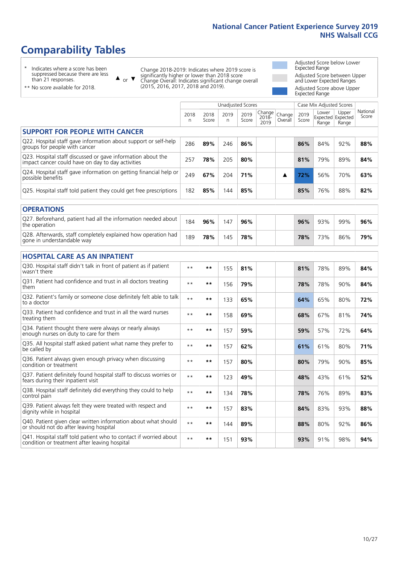# **Comparability Tables**

\* Indicates where a score has been suppressed because there are less than 21 responses.

\*\* No score available for 2018.

 $\triangle$  or  $\nabla$ 

Change 2018-2019: Indicates where 2019 score is significantly higher or lower than 2018 score Change Overall: Indicates significant change overall (2015, 2016, 2017, 2018 and 2019).

Adjusted Score below Lower Expected Range Adjusted Score between Upper and Lower Expected Ranges Adjusted Score above Upper Expected Range

|                                                                                                                   |              |               | <b>Unadjusted Scores</b> |               |                         |                   |               | Case Mix Adjusted Scores            |                |                   |
|-------------------------------------------------------------------------------------------------------------------|--------------|---------------|--------------------------|---------------|-------------------------|-------------------|---------------|-------------------------------------|----------------|-------------------|
|                                                                                                                   | 2018<br>n    | 2018<br>Score | 2019<br>n                | 2019<br>Score | Change<br>2018-<br>2019 | Change<br>Overall | 2019<br>Score | Lower<br>Expected Expected<br>Range | Upper<br>Range | National<br>Score |
| <b>SUPPORT FOR PEOPLE WITH CANCER</b>                                                                             |              |               |                          |               |                         |                   |               |                                     |                |                   |
| Q22. Hospital staff gave information about support or self-help<br>groups for people with cancer                  | 286          | 89%           | 246                      | 86%           |                         |                   | 86%           | 84%                                 | 92%            | 88%               |
| Q23. Hospital staff discussed or gave information about the<br>impact cancer could have on day to day activities  | 257          | 78%           | 205                      | 80%           |                         |                   | 81%           | 79%                                 | 89%            | 84%               |
| Q24. Hospital staff gave information on getting financial help or<br>possible benefits                            | 249          | 67%           | 204                      | 71%           |                         | ▲                 | 72%           | 56%                                 | 70%            | 63%               |
| Q25. Hospital staff told patient they could get free prescriptions                                                | 182          | 85%           | 144                      | 85%           |                         |                   | 85%           | 76%                                 | 88%            | 82%               |
| <b>OPERATIONS</b>                                                                                                 |              |               |                          |               |                         |                   |               |                                     |                |                   |
| Q27. Beforehand, patient had all the information needed about<br>the operation                                    | 184          | 96%           | 147                      | 96%           |                         |                   | 96%           | 93%                                 | 99%            | 96%               |
| Q28. Afterwards, staff completely explained how operation had<br>gone in understandable way                       | 189          | 78%           | 145                      | 78%           |                         |                   | 78%           | 73%                                 | 86%            | 79%               |
| <b>HOSPITAL CARE AS AN INPATIENT</b>                                                                              |              |               |                          |               |                         |                   |               |                                     |                |                   |
| Q30. Hospital staff didn't talk in front of patient as if patient<br>wasn't there                                 | $* *$        | **            | 155                      | 81%           |                         |                   | 81%           | 78%                                 | 89%            | 84%               |
| Q31. Patient had confidence and trust in all doctors treating<br>them                                             | $* *$        | $***$         | 156                      | 79%           |                         |                   | 78%           | 78%                                 | 90%            | 84%               |
| Q32. Patient's family or someone close definitely felt able to talk<br>to a doctor                                | $* *$        | $***$         | 133                      | 65%           |                         |                   | 64%           | 65%                                 | 80%            | 72%               |
| Q33. Patient had confidence and trust in all the ward nurses<br>treating them                                     | $* *$        | **            | 158                      | 69%           |                         |                   | 68%           | 67%                                 | 81%            | 74%               |
| Q34. Patient thought there were always or nearly always<br>enough nurses on duty to care for them                 | $**$         | $***$         | 157                      | 59%           |                         |                   | 59%           | 57%                                 | 72%            | 64%               |
| Q35. All hospital staff asked patient what name they prefer to<br>be called by                                    | $* *$        | **            | 157                      | 62%           |                         |                   | 61%           | 61%                                 | 80%            | 71%               |
| Q36. Patient always given enough privacy when discussing<br>condition or treatment                                | $* *$        | $***$         | 157                      | 80%           |                         |                   | 80%           | 79%                                 | 90%            | 85%               |
| Q37. Patient definitely found hospital staff to discuss worries or<br>fears during their inpatient visit          | $* *$        | **            | 123                      | 49%           |                         |                   | 48%           | 43%                                 | 61%            | 52%               |
| Q38. Hospital staff definitely did everything they could to help<br>control pain                                  | $* *$        | $***$         | 134                      | 78%           |                         |                   | 78%           | 76%                                 | 89%            | 83%               |
| Q39. Patient always felt they were treated with respect and<br>dignity while in hospital                          | $* *$        | **            | 157                      | 83%           |                         |                   | 84%           | 83%                                 | 93%            | 88%               |
| Q40. Patient given clear written information about what should<br>or should not do after leaving hospital         | $\star\star$ | $***$         | 144                      | 89%           |                         |                   | 88%           | 80%                                 | 92%            | 86%               |
| Q41. Hospital staff told patient who to contact if worried about<br>condition or treatment after leaving hospital | $**$         | **            | 151                      | 93%           |                         |                   | 93%           | 91%                                 | 98%            | 94%               |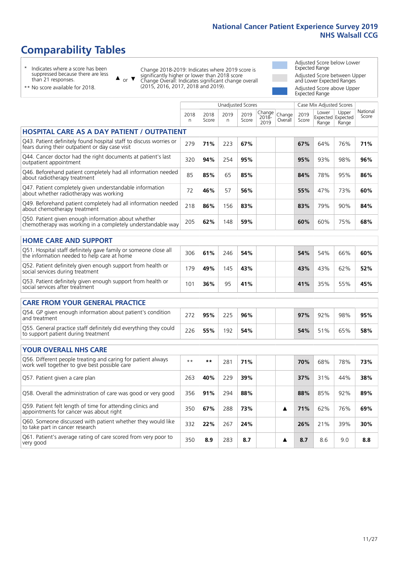Unadjusted Scores **Case Mix Adjusted Scores** 

# **Comparability Tables**

\* Indicates where a score has been suppressed because there are less than 21 responses.

 $\triangle$  or  $\nabla$ 

Change 2018-2019: Indicates where 2019 score is significantly higher or lower than 2018 score Change Overall: Indicates significant change overall (2015, 2016, 2017, 2018 and 2019).

Adjusted Score below Lower Expected Range Adjusted Score between Upper and Lower Expected Ranges Adjusted Score above Upper Expected Range

 $N = \frac{1}{2}$ 

| ** No score available for 2018. |
|---------------------------------|
|---------------------------------|

|                                                                                                                       | 2018<br>n | 2018<br>Score | 2019<br>n. | 2019<br>Score | Change<br>2018-<br>2019 | Change<br>Overall | 2019<br>Score | Lower<br>Range | Upper<br>Expected Expected<br>Range | National<br>Score |
|-----------------------------------------------------------------------------------------------------------------------|-----------|---------------|------------|---------------|-------------------------|-------------------|---------------|----------------|-------------------------------------|-------------------|
| <b>HOSPITAL CARE AS A DAY PATIENT / OUTPATIENT</b>                                                                    |           |               |            |               |                         |                   |               |                |                                     |                   |
| Q43. Patient definitely found hospital staff to discuss worries or<br>fears during their outpatient or day case visit | 279       | 71%           | 223        | 67%           |                         |                   | 67%           | 64%            | 76%                                 | 71%               |
| Q44. Cancer doctor had the right documents at patient's last<br>outpatient appointment                                | 320       | 94%           | 254        | 95%           |                         |                   | 95%           | 93%            | 98%                                 | 96%               |
| Q46. Beforehand patient completely had all information needed<br>about radiotherapy treatment                         | 85        | 85%           | 65         | 85%           |                         |                   | 84%           | 78%            | 95%                                 | 86%               |
| Q47. Patient completely given understandable information<br>about whether radiotherapy was working                    | 72        | 46%           | 57         | 56%           |                         |                   | 55%           | 47%            | 73%                                 | 60%               |
| Q49. Beforehand patient completely had all information needed<br>about chemotherapy treatment                         | 218       | 86%           | 156        | 83%           |                         |                   | 83%           | 79%            | 90%                                 | 84%               |
| Q50. Patient given enough information about whether<br>chemotherapy was working in a completely understandable way    | 205       | 62%           | 148        | 59%           |                         |                   | 60%           | 60%            | 75%                                 | 68%               |
| <b>HOME CARE AND SUPPORT</b>                                                                                          |           |               |            |               |                         |                   |               |                |                                     |                   |
| Q51. Hospital staff definitely gave family or someone close all<br>the information needed to help care at home        | 306       | 61%           | 246        | 54%           |                         |                   | 54%           | 54%            | 66%                                 | 60%               |
| Q52. Patient definitely given enough support from health or<br>social services during treatment                       | 179       | 49%           | 145        | 43%           |                         |                   | 43%           | 43%            | 62%                                 | 52%               |
| Q53. Patient definitely given enough support from health or<br>social services after treatment                        | 101       | 36%           | 95         | 41%           |                         |                   | 41%           | 35%            | 55%                                 | 45%               |
| <b>CARE FROM YOUR GENERAL PRACTICE</b>                                                                                |           |               |            |               |                         |                   |               |                |                                     |                   |
| Q54. GP given enough information about patient's condition<br>and treatment                                           | 272       | 95%           | 225        | 96%           |                         |                   | 97%           | 92%            | 98%                                 | 95%               |
| Q55. General practice staff definitely did everything they could<br>to support patient during treatment               | 226       | 55%           | 192        | 54%           |                         |                   | 54%           | 51%            | 65%                                 | 58%               |
| <b>YOUR OVERALL NHS CARE</b>                                                                                          |           |               |            |               |                         |                   |               |                |                                     |                   |
| Q56. Different people treating and caring for patient always<br>work well together to give best possible care         | $***$     | **            | 281        | 71%           |                         |                   | 70%           | 68%            | 78%                                 | 73%               |
| Q57. Patient given a care plan                                                                                        | 263       | 40%           | 229        | 39%           |                         |                   | 37%           | 31%            | 44%                                 | 38%               |
| Q58. Overall the administration of care was good or very good                                                         | 356       | 91%           | 294        | 88%           |                         |                   | 88%           | 85%            | 92%                                 | 89%               |
| Q59. Patient felt length of time for attending clinics and<br>appointments for cancer was about right                 | 350       | 67%           | 288        | 73%           |                         | ▲                 | 71%           | 62%            | 76%                                 | 69%               |
| Q60. Someone discussed with patient whether they would like<br>to take part in cancer research                        | 332       | 22%           | 267        | 24%           |                         |                   | 26%           | 21%            | 39%                                 | 30%               |
| Q61. Patient's average rating of care scored from very poor to<br>very good                                           | 350       | 8.9           | 283        | 8.7           |                         | ▲                 | 8.7           | 8.6            | 9.0                                 | 8.8               |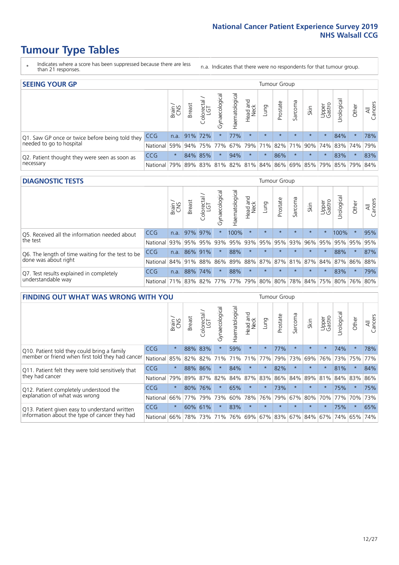- \* Indicates where a score has been suppressed because there are less than 21 responses.
- n.a. Indicates that there were no respondents for that tumour group.

| <b>SEEING YOUR GP</b>                           |            |              |                 |            |                    |                |                                               |         | Tumour Group |         |         |                 |                                                           |         |                |
|-------------------------------------------------|------------|--------------|-----------------|------------|--------------------|----------------|-----------------------------------------------|---------|--------------|---------|---------|-----------------|-----------------------------------------------------------|---------|----------------|
|                                                 |            | Brain<br>CNS | <b>Breast</b>   | Colorectal | ᠊ᢛ<br>Gynaecologic | Haematological | Head and<br>Neck                              | Lung    | Prostate     | Sarcoma | Skin    | Upper<br>Gastro | $\sigma$<br>Irologica                                     | Other   | All<br>Cancers |
| Q1. Saw GP once or twice before being told they | <b>CCG</b> |              | n.a. $91\%$ 72% |            |                    | 77%            | $\star$                                       | $\star$ | $\star$      | $\star$ | $\star$ | $\star$         | 84%                                                       | $\star$ | 78%            |
| needed to go to hospital                        | National   | 59%          |                 |            | 94% 75% 77%        |                |                                               |         |              |         |         |                 | 67%   79%   71%   82%   71%   90%   74%   83%   74%   79% |         |                |
| Q2. Patient thought they were seen as soon as   | <b>CCG</b> | $\star$      |                 | 84% 85%    | $\star$            | 94%            | $\star$                                       | $\star$ | 86%          | $\star$ | $\star$ | $\star$         | 83%                                                       | $\star$ | 83%            |
| necessary                                       | National   | 79%          |                 | 89% 83%    |                    |                | 81%   82%   81%   84%   86%   69%   85%   79% |         |              |         |         |                 | 85% 79%                                                   |         | 84%            |

#### **DIAGNOSTIC TESTS** Tumour Group

|                                                   |                                          | Brain<br>CNS | <b>Breast</b> | Colorectal<br>LGT | ᅙ<br>Gynaecologic | Haematological | Head and<br>Neck | Lung        | Prostate | Sarcoma | Skin    | Upper<br>Gastro | rological                                   | Other   | All<br>Cancers |
|---------------------------------------------------|------------------------------------------|--------------|---------------|-------------------|-------------------|----------------|------------------|-------------|----------|---------|---------|-----------------|---------------------------------------------|---------|----------------|
| Q5. Received all the information needed about     | <b>CCG</b>                               | n.a.         | 97% 97%       |                   |                   | 100%           | $\star$          | $\star$     | $\star$  |         | $\star$ |                 | 100%                                        | $\star$ | 95%            |
| the test                                          | National                                 | 93%          |               | 95% 95%           |                   | 93% 95%        |                  | 93% 95% 95% |          | 93%     | 96%     |                 | 95% 95% 95%                                 |         | 95%            |
| Q6. The length of time waiting for the test to be | <b>CCG</b>                               | n.a.         | 86% 91%       |                   | $\star$           | 88%            | $\star$          | $\star$     | $\star$  | $\star$ | $\star$ | $\star$         | 88%                                         | $\star$ | 87%            |
| done was about right                              | National                                 |              | 84% 91% 88%   |                   |                   |                |                  |             |          |         |         |                 | 86% 89% 88% 87% 87% 81% 87% 84% 87% 86% 88% |         |                |
| Q7. Test results explained in completely          | <b>CCG</b>                               | n.a.         |               | 88% 74%           | $\star$           | 88%            | $\star$          | $\star$     | $\star$  | $\star$ | $\star$ | $\star$         | 83%                                         | $\star$ | 79%            |
| understandable way                                | National 71% 83% 82% 77% 77% 79% 80% 80% |              |               |                   |                   |                |                  |             |          |         |         |                 | 78% 84% 75% 80% 76% 80%                     |         |                |

| <b>FINDING OUT WHAT WAS WRONG WITH YOU</b>        |          |         |               |                        |                |                |                        |                     | Tumour Group |         |         |                 |            |        |                |
|---------------------------------------------------|----------|---------|---------------|------------------------|----------------|----------------|------------------------|---------------------|--------------|---------|---------|-----------------|------------|--------|----------------|
|                                                   |          | Brain   | <b>Breast</b> | olorectal.<br>LGT<br>Û | Gynaecological | Haematological | ad and<br>Neck<br>Head | Lung                | Prostate     | Sarcoma | Skin    | Upper<br>Gastro | Irological | Other  | All<br>Cancers |
| Q10. Patient told they could bring a family       | CCG      | $\star$ | 88%           | 83%                    |                | 59%            | $\star$                | $\star$             | 77%          | $\star$ | $\star$ | $\star$         | 74%        | $\ast$ | 78%            |
| member or friend when first told they had cancer  | National | 85%     | 82%           | 82%                    | 71%            | 71%            | 71%                    | 77%                 | 79%          | 73%     | 69%     | 76%             | 73%        | 75%    | 77%            |
| Q11. Patient felt they were told sensitively that | CCG      | $\star$ | 88%           | 86%                    |                | 84%            | $^\star$               | $\star$             | 82%          | $\star$ | $\star$ | $\star$         | 81%        | $\ast$ | 84%            |
| they had cancer                                   | National | 79%     | 89% 87%       |                        | 82%            | 84%            | 87%                    | 83%                 | 86%          | 84%     | 89%     | 81%             | 84% 83%    |        | 86%            |
| Q12. Patient completely understood the            | CCG      | $\star$ | 80%           | 76%                    |                | 65%            | $\star$                | $\star$             | 73%          | $\star$ | $\star$ |                 | 75%        | $\ast$ | 75%            |
| explanation of what was wrong                     | National | 66%     | 77%           | 79%                    | 73%            | 60%            | 78%                    | 76%                 | 79%          | 67%     | 80%     | 70%             | 77%        | 70%    | 73%            |
| Q13. Patient given easy to understand written     | CCG      | $\star$ | 60% 61%       |                        | $\star$        | 83%            | $\star$                | $\star$             | $\star$      | $\star$ | $\star$ | $\star$         | 75%        | $\ast$ | 65%            |
| information about the type of cancer they had     | National | 66%     | 78%           | 73%                    | 71%            | 76%            |                        | 69% 67% 83% 67% 84% |              |         |         | 67%             | 74%        | 65%    | 74%            |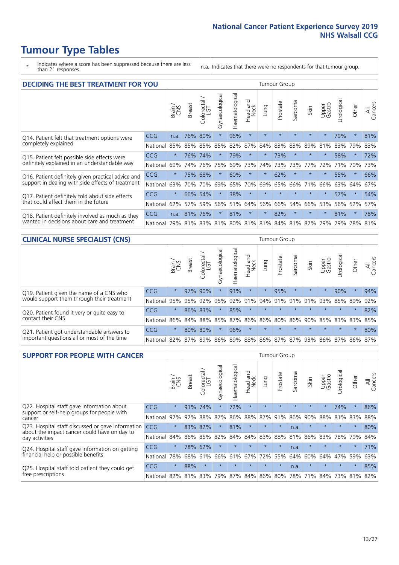- \* Indicates where a score has been suppressed because there are less than 21 responses.
- n.a. Indicates that there were no respondents for that tumour group.

| <b>DECIDING THE BEST TREATMENT FOR YOU</b>         |            |         |                                             |                             |                |                |                         |         | Tumour Group |         |         |                 |            |             |                |
|----------------------------------------------------|------------|---------|---------------------------------------------|-----------------------------|----------------|----------------|-------------------------|---------|--------------|---------|---------|-----------------|------------|-------------|----------------|
|                                                    |            | Brain   | <b>Breast</b>                               | olorectal.<br>LGT<br>$\cup$ | Gynaecological | Haematological | ead and<br>Neck<br>Head | Lung    | Prostate     | Sarcoma | Skin    | Upper<br>Gastro | Jrological | Other       | All<br>Cancers |
| Q14. Patient felt that treatment options were      | <b>CCG</b> | n.a.    | 76%                                         | 80%                         | $\star$        | 96%            | $\star$                 | $\star$ | $\star$      | $\star$ | $\star$ | $\star$         | 79%        | $\star$     | 81%            |
| completely explained                               | National   | 85%     | 85%                                         | 85%                         | 85%            | 82%            | 87%                     | 84%     | 83%          | 83%     | 89%     | 81%             | 83%        | 79%         | 83%            |
| Q15. Patient felt possible side effects were       | CCG        | $\star$ | 76%                                         | 74%                         |                | 79%            | $\ast$                  | $\star$ | 73%          | $\star$ |         |                 | 58%        | $\star$     | 72%            |
| definitely explained in an understandable way      | National   | 69%     | 74%                                         | 76%                         | 75%            | 69%            | 73%                     | 74%     | 73%          | 73%     | 77%     | 72%             | 71%        | 70%         | 73%            |
| Q16. Patient definitely given practical advice and | CCG        | $\star$ | 75%                                         | 68%                         | $\star$        | 60%            | $\star$                 | $\star$ | 62%          | $\star$ |         | $\star$         | 55%        | $\star$     | 66%            |
| support in dealing with side effects of treatment  | National   | 63%     | 70%                                         | 70%                         | 69%            | 65%            | 70%                     | 69%     | 65%          | 66%     | 71%     | 66%             | 63%        | 64%         | 67%            |
| Q17. Patient definitely told about side effects    | CCG        | $\star$ |                                             | 66% 54%                     | $\star$        | 38%            | $\star$                 | $\star$ | $\star$      | $\star$ | $\star$ | $\star$         | 57%        | $\star$     | 54%            |
| that could affect them in the future               | National   | 62%     | 57%                                         | 59%                         | 56%            | 51%            | 64%                     | 56%     | 66%          | 54%     | 66%     | 53%             |            | 56% 52%     | 57%            |
| Q18. Patient definitely involved as much as they   | CCG        | n.a.    | 81%                                         | 76%                         | $\star$        | 81%            | $\ast$                  | $\star$ | 82%          | $\star$ |         | $\star$         | 81%        | $\star$     | 78%            |
| wanted in decisions about care and treatment       | National   |         | 79% 81% 83% 81% 80% 81% 81% 84% 81% 87% 79% |                             |                |                |                         |         |              |         |         |                 |            | 79% 78% 81% |                |

#### **CLINICAL NURSE SPECIALIST (CNS)** Tumour Group

|                                             |            | Brain   | Breast | Colorectal<br>LGT | ᢛ<br>Gynaecologic | Haematological | Head and<br>Neck | Lung    | Prostate | Sarcoma | Skin                        | Upper<br>Gastro | ᅲ<br>Irologica  | Other    | All<br>Cancers |
|---------------------------------------------|------------|---------|--------|-------------------|-------------------|----------------|------------------|---------|----------|---------|-----------------------------|-----------------|-----------------|----------|----------------|
| Q19. Patient given the name of a CNS who    | <b>CCG</b> | $\star$ |        | 97% 90%           |                   | 93%            | $\star$          |         | 95%      | $\star$ | $\star$                     |                 | 90%             | $\star$  | 94%            |
| would support them through their treatment  | National   | 95%     | 95%    | 92%               | 95%               | 92%            | 91%              | 94% 91% |          | 91%     | 91%                         | 93%             | 85% 89%         |          | 92%            |
| Q20. Patient found it very or quite easy to | CCG        | $\star$ |        | 86% 83%           |                   | 85%            | $\star$          | $\star$ | $\star$  | $\star$ | $\star$                     | $\star$         | $\star$         | $\star$  | 82%            |
| contact their CNS                           | National   | 86%     | 84%    | 88%               | 85%               |                |                  |         |          |         | 87% 86% 86% 80% 86% 90% 85% |                 | 83% 83% 85%     |          |                |
| Q21. Patient got understandable answers to  | CCG        | $\star$ | 80%    | 80%               | $\star$           | 96%            | $\star$          | $\star$ | $\star$  | $\star$ | $\star$                     | $\star$         | $\star$         | $^\star$ | 80%            |
| important questions all or most of the time | National   | 82%     | 87%    | 89%               |                   |                |                  |         |          |         | 86% 89% 88% 86% 87% 87% 93% |                 | 86% 87% 86% 87% |          |                |

| <b>SUPPORT FOR PEOPLE WITH CANCER</b>                                                             |            |         |               |            |                |                |                        |             | <b>Tumour Group</b> |         |         |                 |            |         |                |
|---------------------------------------------------------------------------------------------------|------------|---------|---------------|------------|----------------|----------------|------------------------|-------------|---------------------|---------|---------|-----------------|------------|---------|----------------|
|                                                                                                   |            | Brain   | <b>Breast</b> | Colorectal | Gynaecological | Haematological | ad and<br>Neck<br>Head | Lung        | Prostate            | Sarcoma | Skin    | Upper<br>Gastro | Jrological | Other   | All<br>Cancers |
| Q22. Hospital staff gave information about                                                        | <b>CCG</b> | $\star$ | 91%           | 74%        | $\star$        | 72%            | $\star$                | $\star$     | $\star$             | $\star$ | $\star$ | $\star$         | 74%        | $\star$ | 86%            |
| support or self-help groups for people with<br>cancer                                             | National   | 92%     | 92%           | 88%        | 87%            | 86%            | 88%                    | 87%         | 91%                 | 86%     | 90%     | 88%             | 81%        | 83%     | 88%            |
| Q23. Hospital staff discussed or gave information<br>about the impact cancer could have on day to | CCG.       | $\star$ | 83%           | 82%        | $\star$        | 81%            | $\star$                | $\star$     | $\star$             | n.a.    | $\star$ | $\star$         | $\star$    | $\star$ | 80%            |
| day activities                                                                                    | National   | 84%     | 86%           | 85%        | 82%            | 84%            | 84%                    | 83%         | 88%                 | 81%     | 86%     | 83%             | 78%        | 79%     | 84%            |
| Q24. Hospital staff gave information on getting                                                   | CCG        | $\star$ |               | 78% 62%    | $\star$        | $\star$        | $\star$                | $\star$     | $\star$             | n.a.    | $\star$ | $\star$         | $\star$    | $\ast$  | 71%            |
| financial help or possible benefits                                                               | National   | 78%     | 68%           | 61%        | 66%            | 61%            | 67%                    | 72%         | 55%                 | 64%     | 60%     | 64%             | 47%        | 59%     | 63%            |
| Q25. Hospital staff told patient they could get                                                   | CCG        | $\star$ | 88%           | $\star$    | $\star$        | $\star$        | $\star$                | $\star$     | $\star$             | n.a.    | $\star$ | $\star$         | $\star$    | $\star$ | 85%            |
| free prescriptions                                                                                | National   | 82%     | 81%           | 83%        | 79%            | 87%            |                        | 84% 86% 80% |                     | 78%     | 71%     | 84%             | 73%        | 81%     | 82%            |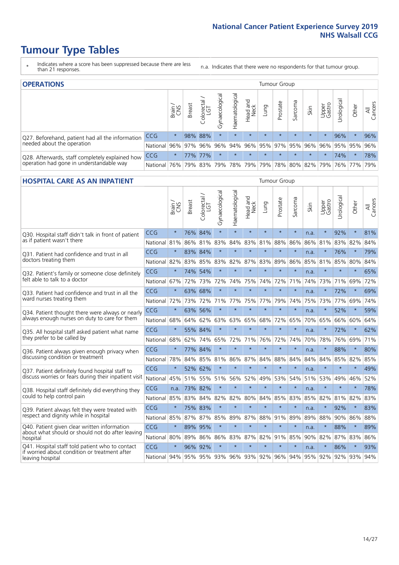- \* Indicates where a score has been suppressed because there are less than 21 responses.
- n.a. Indicates that there were no respondents for that tumour group.

| <b>OPERATIONS</b>                                |              |         |               |                   |                    |                     |                  |             | Tumour Group        |         |         |                 |            |                                         |                |
|--------------------------------------------------|--------------|---------|---------------|-------------------|--------------------|---------------------|------------------|-------------|---------------------|---------|---------|-----------------|------------|-----------------------------------------|----------------|
|                                                  |              | Brain   | <b>Breast</b> | Colorectal<br>LGT | ᠊ᢛ<br>Gynaecologic | Haematological      | Head and<br>Neck | <b>Dung</b> | Prostate            | Sarcoma | Skin    | Upper<br>Gastro | Jrological | Other                                   | All<br>Cancers |
| Q27. Beforehand, patient had all the information | CCG          | $\star$ |               | 98% 88%           | $\star$            | $\star$             | $\star$          | $\star$     | $\star$             | $\star$ | $\star$ | $\star$         | 96%        | $\ast$                                  | 96%            |
| needed about the operation                       | National     | $96\%$  |               |                   | 97% 96% 96%        |                     |                  |             |                     |         |         |                 |            | 94% 96% 95% 97% 95% 96% 96% 95% 95% 95% | 96%            |
| Q28. Afterwards, staff completely explained how  | <b>CCG</b>   | $\star$ |               | 77% 77%           | $\star$            |                     | $\star$          | $\star$     | $\star$             | $\star$ | $\star$ | $\star$         | 74%        | $\star$                                 | 78%            |
| operation had gone in understandable way         | National 76% |         |               |                   |                    | 79% 83% 79% 78% 79% |                  |             | 79% 78% 80% 82% 79% |         |         |                 |            | 76% 77%                                 | 79%            |

### **HOSPITAL CARE AS AN INPATIENT** Tumour Group

|                                                                                                   |              | Brain   | Breast  | Colorectal /<br>LGT     | Gynaecological | Haematological | Head and<br>Neck | Lung    | Prostate | Sarcoma | Skin | Upper<br>Gastro | Urological | Other       | All<br>Cancers |
|---------------------------------------------------------------------------------------------------|--------------|---------|---------|-------------------------|----------------|----------------|------------------|---------|----------|---------|------|-----------------|------------|-------------|----------------|
| Q30. Hospital staff didn't talk in front of patient                                               | CCG          | $\star$ | 76%     | 84%                     | $\star$        | $\star$        | $\star$          | $\star$ | $\star$  | $\star$ | n.a. | $\star$         | 92%        | $\star$     | 81%            |
| as if patient wasn't there                                                                        | National     | 81%     | 86%     | 81%                     | 83%            | 84%            | 83%              | 81%     | 88%      | 86%     | 86%  | 81%             | 83%        | 82%         | 84%            |
| 031. Patient had confidence and trust in all<br>doctors treating them                             | CCG          | $\star$ | 83% 84% |                         | $\star$        | $\star$        | $\star$          | $\star$ | $\star$  | $\star$ | n.a. |                 | 76%        | $\star$     | 79%            |
|                                                                                                   | National     | 82%     |         | 83% 85%                 | 83%            | 82%            |                  | 87% 83% | 89%      | 86%     |      | 85% 81%         | 85%        | 80%         | 84%            |
| Q32. Patient's family or someone close definitely<br>felt able to talk to a doctor                | CCG          | $\star$ | 74%     | 54%                     | $\star$        | $\star$        | $\star$          | $\star$ | $\star$  | $\star$ | n.a. |                 | $\star$    | $\star$     | 65%            |
|                                                                                                   | National     | 67%     | 72%     | 73%                     | 72%            | 74%            | 75%              | 74%     | 72%      | 71%     | 74%  | 73%             | 71%        | 69%         | 72%            |
| Q33. Patient had confidence and trust in all the<br>ward nurses treating them                     | CCG          | $\star$ | 63%     | 68%                     | $\star$        | $\star$        | $\star$          | $\star$ | $\star$  | $\star$ | n.a. | $\star$         | 72%        | $\star$     | 69%            |
|                                                                                                   | National     | 72%     | 73%     | 72%                     | 71%            | 77%            | 75%              | 77%     | 79%      | 74%     | 75%  | 73%             | 77%        | 69%         | 74%            |
| Q34. Patient thought there were always or nearly<br>always enough nurses on duty to care for them | CCG          | $\star$ | 63%     | 56%                     | $\star$        | $\star$        | $\star$          | $\star$ | $\star$  | $\star$ | n.a. | $\star$         | 52%        | $\star$     | 59%            |
|                                                                                                   | National     | 68%     | 64%     | 62%                     | 63%            | 63%            | 65%              | 68%     | 72%      | 65%     | 70%  | 65%             | 66%        | 60%         | 64%            |
| Q35. All hospital staff asked patient what name<br>they prefer to be called by                    | CCG          | $\star$ |         | 55% 84%                 | $\star$        | $\star$        | $\star$          | $\star$ | $\star$  | $\star$ | n.a. |                 | 72%        | $\star$     | 62%            |
|                                                                                                   | National     | 68%     | 62%     | 74%                     | 65%            | 72%            | 71%              | 76%     | 72%      | 74%     | 70%  | 78%             | 76%        | 69%         | 71%            |
| Q36. Patient always given enough privacy when                                                     | CCG          | $\star$ |         | 77% 84%                 | $\star$        | $\star$        | $\star$          | $\star$ | $\star$  | $\star$ | n.a. |                 | 88%        | $\star$     | 80%            |
| discussing condition or treatment                                                                 | National     | 78%     | 84%     | 85%                     | 81%            | 86%            |                  | 87% 84% | 88%      | 84%     | 84%  | 84%             | 85%        | 82%         | 85%            |
| Q37. Patient definitely found hospital staff to                                                   | CCG          | $\star$ | 52%     | 62%                     | $\star$        | $\star$        | $\star$          | $\star$ | $\star$  | $\star$ | n.a. |                 | $\star$    | $\star$     | 49%            |
| discuss worries or fears during their inpatient visit                                             | National     | 45%     |         | 51% 55%                 | 51%            | 56%            | 52%              | 49%     | 53%      | 54%     | 51%  | 53%             | 49%        | 46%         | 52%            |
| Q38. Hospital staff definitely did everything they                                                | CCG          | n.a.    | 73% 82% |                         | $\star$        | $\star$        | $\star$          | $\star$ | $\star$  | $\star$ | n.a. | $\star$         | $\star$    | $\star$     | 78%            |
| could to help control pain                                                                        | National     | 85%     | 83%     | 84%                     | 82%            | 82%            | 80%              | 84%     | 85%      | 83%     | 85%  | 82%             | 81%        | 82%         | 83%            |
| Q39. Patient always felt they were treated with                                                   | CCG          | $\star$ |         | 75% 83%                 | $\star$        | $\star$        | $\star$          | $\star$ | $\star$  | $\star$ | n.a. |                 | 92%        | $\star$     | 83%            |
| respect and dignity while in hospital                                                             | National     | 85%     |         | 87% 87%                 | 85%            | 89%            |                  | 87% 88% | 91%      | 89%     | 89%  | 88%             |            | 90% 86%     | 88%            |
| Q40. Patient given clear written information<br>about what should or should not do after leaving  | CCG          | $\star$ | 89%     | 95%                     | $\star$        | $\star$        | $\star$          | $\star$ | $\star$  | $\star$ | n.a. |                 | 88%        | $\star$     | 89%            |
| hospital                                                                                          | National     | 80%     | 89%     | 86%                     | 86%            | 83%            |                  | 87% 82% | 91%      | 85%     | 90%  | 82%             | 87%        | 83%         | 86%            |
| Q41. Hospital staff told patient who to contact<br>if worried about condition or treatment after  | CCG          | $\star$ | 96%     | 92%                     | $\star$        | $\star$        | $\star$          | $\star$ | $\star$  | $\star$ | n.a. | $\star$         | 86%        | $\star$     | 93%            |
| leaving hospital                                                                                  | National 94% |         |         | 95% 95% 93% 96% 93% 92% |                |                |                  |         |          | 96% 94% |      | 95% 92%         |            | 92% 93% 94% |                |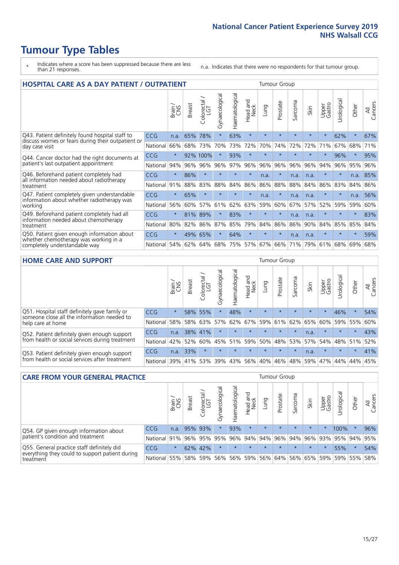- \* Indicates where a score has been suppressed because there are less than 21 responses.
- n.a. Indicates that there were no respondents for that tumour group.

| <b>HOSPITAL CARE AS A DAY PATIENT / OUTPATIENT</b>                                                                    |            |         |               |                       |                |                |                         |         | <b>Tumour Group</b> |                            |         |                 |            |         |                |  |  |
|-----------------------------------------------------------------------------------------------------------------------|------------|---------|---------------|-----------------------|----------------|----------------|-------------------------|---------|---------------------|----------------------------|---------|-----------------|------------|---------|----------------|--|--|
|                                                                                                                       |            | Brain   | <b>Breast</b> | olorectal<br>LGT<br>Ü | Gynaecological | Haematological | ead and<br>Neck<br>Head | Lung    | Prostate            | arcoma<br>$\tilde{\Omega}$ | Skin    | Upper<br>Gastro | Urological | Other   | All<br>Cancers |  |  |
| Q43. Patient definitely found hospital staff to                                                                       | <b>CCG</b> | n.a.    | 65%           | 78%                   | $\star$        | 63%            | $\star$                 | $\star$ | $\star$             | $\star$                    | $\star$ | $\star$         | 62%        | $\star$ | 67%            |  |  |
| discuss worries or fears during their outpatient or<br>day case visit                                                 | National   | 66%     | 68%           | 73%                   | 70%            | 73%            | 72%                     | 70%     | 74%                 | 72%                        | 72%     | 71%             | 67%        | 68%     | 71%            |  |  |
| Q44. Cancer doctor had the right documents at<br>patient's last outpatient appointment                                | CCG        | $\star$ |               | 92% 100%              |                | 93%            | $\star$                 | $\star$ | $\star$             | $\star$                    |         | $\star$         | 96%        | $\star$ | 95%            |  |  |
|                                                                                                                       | National   | 94%     | 96%           | 96%                   | 96%            | 97%            | 96%                     | 96%     | 96%                 | 96%                        | 96%     | 94%             | 96%        | 95%     | 96%            |  |  |
| Q46. Beforehand patient completely had                                                                                | <b>CCG</b> | $\star$ | 86%           | $\star$               |                | $\star$        | $\star$                 | n.a.    | $\star$             | n.a.                       | n.a.    | $\star$         | $\star$    | n.a.    | 85%            |  |  |
| all information needed about radiotherapy<br>treatment                                                                | National   | 91%     | 88%           | 83%                   | 88%            | 84%            | 86%                     | 86%     | 88%                 | 88%                        | 84%     | 86%             | 83%        | 84%     | 86%            |  |  |
| Q47. Patient completely given understandable                                                                          | CCG        | $\star$ | 65%           | $\star$               | $\star$        |                | $\star$                 | n.a.    | $\star$             | n.a.                       | n.a.    | $\star$         | $\star$    | n.a.    | 56%            |  |  |
| information about whether radiotherapy was<br>working                                                                 | National   | 56%     | 60%           | 57%                   | 61%            | 62%            | 63%                     | 59%     | 60%                 | 67%                        | 57%     | 52%             | 59%        | 59%     | 60%            |  |  |
| Q49. Beforehand patient completely had all                                                                            | <b>CCG</b> | $\star$ | 81%           | 89%                   | $\star$        | 83%            | $\star$                 | $\star$ | $\star$             | n.a.                       | n.a.    |                 | $\star$    | $\ast$  | 83%            |  |  |
| information needed about chemotherapy<br>treatment                                                                    | National   | 80%     | 82%           | 86%                   | 87%            | 85%            | 79%                     | 84%     | 86%                 | 86%                        | 90%     | 84%             | 85%        | 85%     | 84%            |  |  |
| Q50. Patient given enough information about<br>whether chemotherapy was working in a<br>completely understandable way | <b>CCG</b> | $\star$ | 49%           | 65%                   | $\star$        | 64%            | $\star$                 | $\star$ | $\star$             | n.a.                       | n.a.    | $\star$         | $\star$    | $\star$ | 59%            |  |  |
|                                                                                                                       | National   | 54%     | 62%           | 64%                   | 68%            | 75%            |                         | 57% 67% | 66%                 | 71%                        | 79%     | 61%             | 68%        | 69%     | 68%            |  |  |

#### **HOME CARE AND SUPPORT** Tumour Group

|                                                                                                                   |            | Brain   | <b>Breast</b> | Colorectal<br>LGT | ᢛ<br>Gynaecologic | Haematological | Head and<br>Neck | <b>Dung</b> | Prostate | Sarcoma | Skin    | Upper<br>Gastro | rologica | Other   | All<br>Cancers |
|-------------------------------------------------------------------------------------------------------------------|------------|---------|---------------|-------------------|-------------------|----------------|------------------|-------------|----------|---------|---------|-----------------|----------|---------|----------------|
| Q51. Hospital staff definitely gave family or<br>someone close all the information needed to<br>help care at home | <b>CCG</b> | $\star$ |               | 58% 55%           |                   | 48%            | $\star$          | $\star$     | $\star$  | $\star$ | $\star$ | $\star$         | 46%      | $\star$ | 54%            |
|                                                                                                                   | National   | 58%     | 58%           | 63%               | 57%               | 62%            | 67%              |             | 59% 61%  | 62%     | 65%     | 60%             | 59% 55%  |         | 60%            |
| Q52. Patient definitely given enough support<br>from health or social services during treatment                   | <b>CCG</b> | n.a.    | 38% 41%       |                   | $\star$           | $\star$        | $\star$          | $\star$     | $\star$  | $\star$ | n.a.    | $\star$         | $\star$  | $\star$ | 43%            |
|                                                                                                                   | National   | 42%     | 52%           | 60%               |                   | 45% 51%        | 59%              | 50%         | 48%      | 53%     | 57%     | 54%             | 48% 51%  |         | 52%            |
| Q53. Patient definitely given enough support<br>from health or social services after treatment                    | <b>CCG</b> | n.a.    | 33%           |                   |                   | $\star$        | $\star$          | $\star$     | $\star$  | $\star$ | n.a.    | $\star$         | $\star$  | $\star$ | 41%            |
|                                                                                                                   | National   | 39%     | 41% 53%       |                   | 39%               | $ 43\% $       | 56%              | 40%         | 46%      | 48%     | 59%     | 47%             | 44%      | 44%     | 45%            |

| <b>CARE FROM YOUR GENERAL PRACTICE</b>                                                                     |              |         |               |                   |                | Tumour Group      |                  |         |          |         |         |                 |                                     |         |                |
|------------------------------------------------------------------------------------------------------------|--------------|---------|---------------|-------------------|----------------|-------------------|------------------|---------|----------|---------|---------|-----------------|-------------------------------------|---------|----------------|
|                                                                                                            |              | Brain,  | <b>Breast</b> | Colorectal<br>LGT | Gynaecological | ক<br>Haematologic | Head and<br>Neck | Lung    | Prostate | Sarcoma | Skin    | Upper<br>Gastro | Urologica                           | Other   | All<br>Cancers |
| Q54. GP given enough information about<br>patient's condition and treatment                                | <b>CCG</b>   | n.a.    |               | 95% 93%           | $\star$        | 93%               | $\star$          | $\star$ | $\star$  | $\star$ | $\star$ | $\star$         | 100%                                | $\star$ | 96%            |
|                                                                                                            | National 91% |         |               | 96% 95%           | 95%            |                   |                  |         |          |         |         |                 | 96% 94% 94% 96% 94% 96% 93% 95% 94% |         | 95%            |
| Q55. General practice staff definitely did<br>everything they could to support patient during<br>treatment | <b>CCG</b>   | $\star$ |               | 62% 42%           | $\star$        | $\star$           | $\star$          | $\star$ | $\star$  | $\star$ | $\star$ | $\star$         | 55%                                 | $\star$ | 54%            |
|                                                                                                            | National     | 55%     |               | 58% 59%           | 56%            |                   | 56% 59%          |         |          |         |         |                 | 56% 64% 56% 65% 59% 59% 55%         |         | 58%            |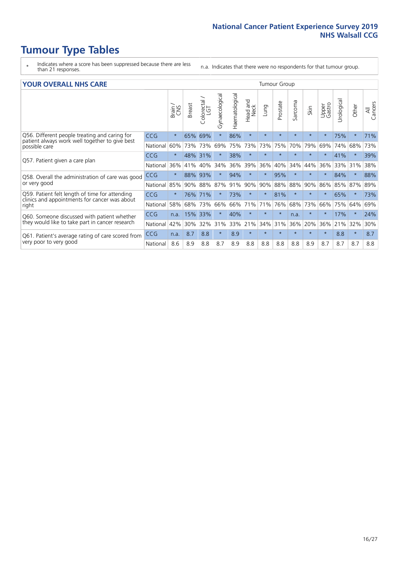- \* Indicates where a score has been suppressed because there are less than 21 responses.
- n.a. Indicates that there were no respondents for that tumour group.

#### **YOUR OVERALL NHS CARE** THE CONSTRUCTION OF THE THROUP GROUP TUMOUR GROUP

| <u>UUN UTENTEE ITIIJ GANE</u>                                                                   |            |         |               |                       |                |                |                                 |          |          |                      |         |                 |                            |          |                |
|-------------------------------------------------------------------------------------------------|------------|---------|---------------|-----------------------|----------------|----------------|---------------------------------|----------|----------|----------------------|---------|-----------------|----------------------------|----------|----------------|
|                                                                                                 |            | Brain   | <b>Breast</b> | olorectal<br>LGT<br>Ū | Gynaecological | Haematological | <b>Bad and<br/>Neck</b><br>Head | Lung     | Prostate | arcoma<br>$\sqrt{ }$ | Skin    | Upper<br>Gastro | $\overline{c}$<br>Urologia | Other    | All<br>Cancers |
| Q56. Different people treating and caring for                                                   | <b>CCG</b> | $\star$ | 65%           | 69%                   | $\star$        | 86%            | $\star$                         | $\star$  | $\star$  | $\star$              | $\star$ | $\star$         | 75%                        | $\ast$   | 71%            |
| patient always work well together to give best<br>possible care                                 | National   | 60%     |               | 73% 73%               | 69%            | 75%            | 73%                             | 73%      | 75%      | 70%                  | 79%     | 69%             | 74%                        | 68%      | 73%            |
| Q57. Patient given a care plan                                                                  | <b>CCG</b> | $\star$ | 48% 31%       |                       |                | 38%            | $\star$                         | $\star$  | $\star$  | $\star$              | $\star$ | $\star$         | 41%                        | $^\star$ | 39%            |
|                                                                                                 | National   | 36%     | 41%           | 40%                   | 34%            | 36%            | 39%                             | 36%      | 40%      | 34%                  | 44%     | 36%             | 33%                        | 31%      | 38%            |
| Q58. Overall the administration of care was good                                                | <b>CCG</b> | $\star$ | 88%           | 93%                   |                | 94%            | $\star$                         | $^\star$ | 95%      | $\star$              | $\star$ |                 | 84%                        | $\star$  | 88%            |
| or very good                                                                                    | National   | 85%     | 90%           | 88%                   | 87%            | 91%            | 90%                             | 90%      | 88%      | 88%                  | 90%     | 86%             | 85%                        | 87%      | 89%            |
| Q59. Patient felt length of time for attending<br>clinics and appointments for cancer was about | <b>CCG</b> | $\star$ |               | 76% 71%               |                | 73%            | $\star$                         | $^\star$ | 81%      | $\star$              | $\ast$  | $\star$         | 65%                        | $^\star$ | 73%            |
| right                                                                                           | National   | 58%     | 68%           | 73%                   | 66%            | 66%            | 71%                             | 71%      | 76%      | 68%                  | 73%     | 66%             | 75%                        | 64%      | 69%            |
| Q60. Someone discussed with patient whether                                                     | <b>CCG</b> | n.a.    | 15%           | 33%                   |                | 40%            | $\star$                         | $\star$  | $\star$  | n.a.                 | $\star$ | $\star$         | 17%                        | $\star$  | 24%            |
| they would like to take part in cancer research                                                 | National   | 42%     | 30%           | 32%                   | 31%            | 33%            | 21%                             | 34%      | 31%      | 36%                  | 20%     | 36%             | 21%                        | 32%      | 30%            |
| Q61. Patient's average rating of care scored from<br>very poor to very good                     | CCG        | n.a.    | 8.7           | 8.8                   | $\star$        | 8.9            | $\star$                         | $^\star$ | $\star$  | $\star$              | $\star$ | $\star$         | 8.8                        | $^\star$ | 8.7            |
|                                                                                                 | National   | 8.6     | 8.9           | 8.8                   | 8.7            | 8.9            | 8.8                             | 8.8      | 8.8      | 8.8                  | 8.9     | 8.7             | 8.7                        | 8.7      | 8.8            |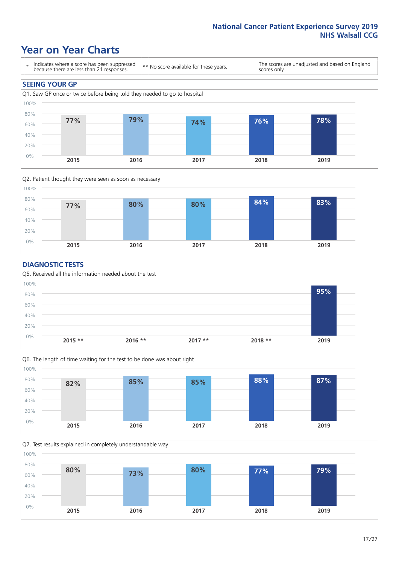### **Year on Year Charts**





#### **DIAGNOSTIC TESTS**





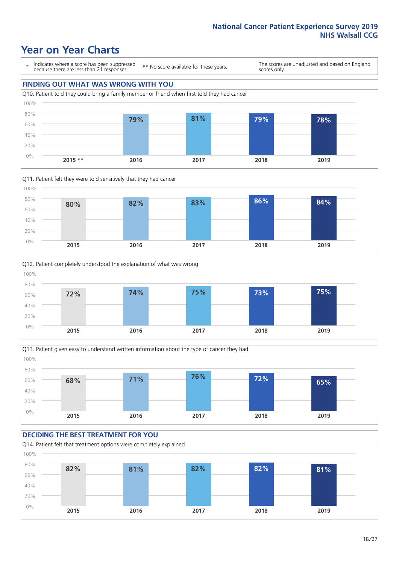### **Year on Year Charts**

\* Indicates where a score has been suppressed because there are less than 21 responses.

\*\* No score available for these years.

The scores are unadjusted and based on England scores only.

### **FINDING OUT WHAT WAS WRONG WITH YOU**









### **DECIDING THE BEST TREATMENT FOR YOU**

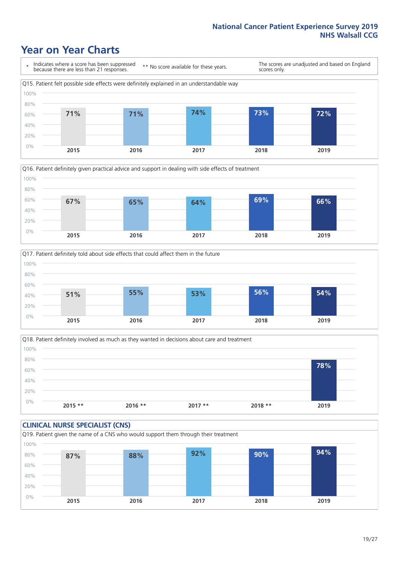### **Year on Year Charts**







Q18. Patient definitely involved as much as they wanted in decisions about care and treatment  $0%$ 20% 40% 60% 80% 100% **2015 \*\* 2016 \*\* 2017 \*\* 2018 \*\* 2019 78%**

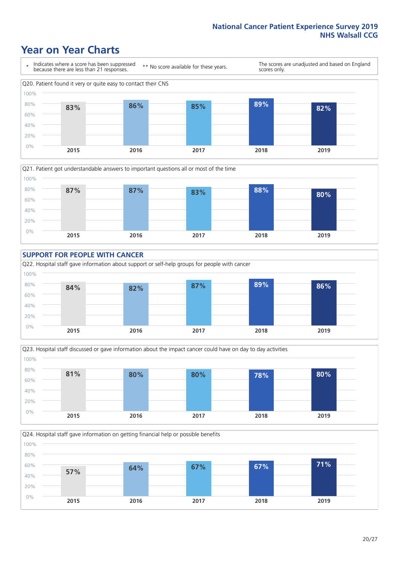### **Year on Year Charts**











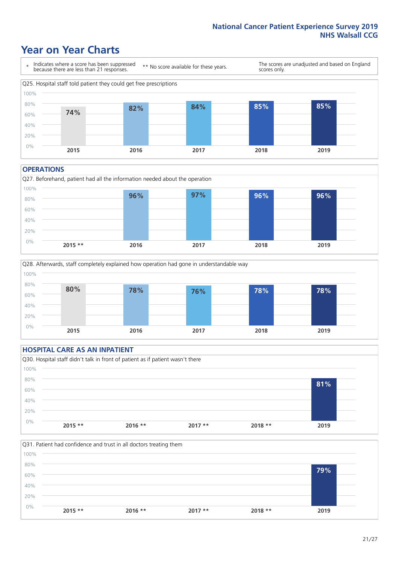### **Year on Year Charts**



#### **OPERATIONS**





### **HOSPITAL CARE AS AN INPATIENT** Q30. Hospital staff didn't talk in front of patient as if patient wasn't there 0% 20% 40% 60% 80% 100% **2015 \*\* 2016 \*\* 2017 \*\* 2018 \*\* 2019 81%**

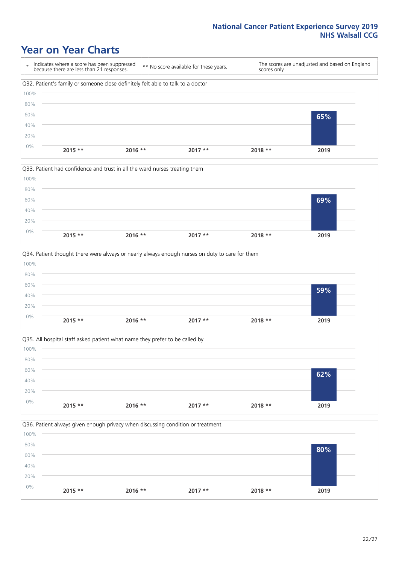### **Year on Year Charts**









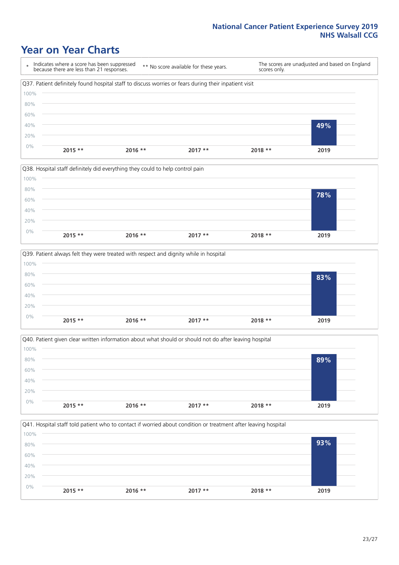### **Year on Year Charts**

\* Indicates where a score has been suppressed because there are less than 21 responses. \*\* No score available for these years. The scores are unadjusted and based on England scores only. Q37. Patient definitely found hospital staff to discuss worries or fears during their inpatient visit 0% 20% 40% 60% 80% 100% **2015 \*\* 2016 \*\* 2017 \*\* 2018 \*\* 2019 49%**









23/27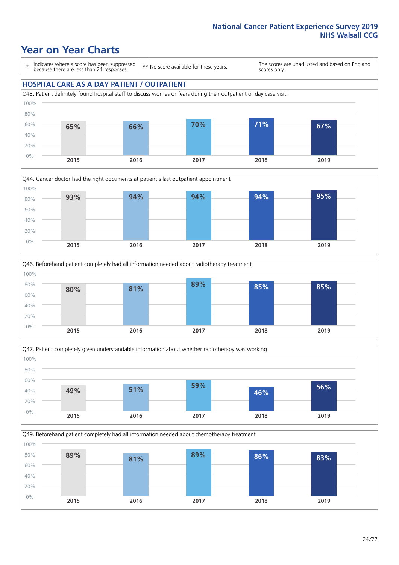### **Year on Year Charts**

\* Indicates where a score has been suppressed because there are less than 21 responses.

\*\* No score available for these years.

The scores are unadjusted and based on England scores only.

#### **HOSPITAL CARE AS A DAY PATIENT / OUTPATIENT**









Q49. Beforehand patient completely had all information needed about chemotherapy treatment

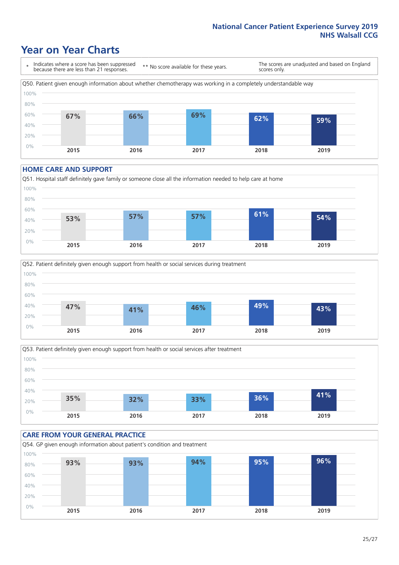### **Year on Year Charts**

\* Indicates where a score has been suppressed because there are less than 21 responses. \*\* No score available for these years. The scores are unadjusted and based on England scores only. Q50. Patient given enough information about whether chemotherapy was working in a completely understandable way 0% 20% 40% 60% 80% 100% **2015 2016 2017 2018 2019 67% 66% 69% 62% 59%**

#### **HOME CARE AND SUPPORT**







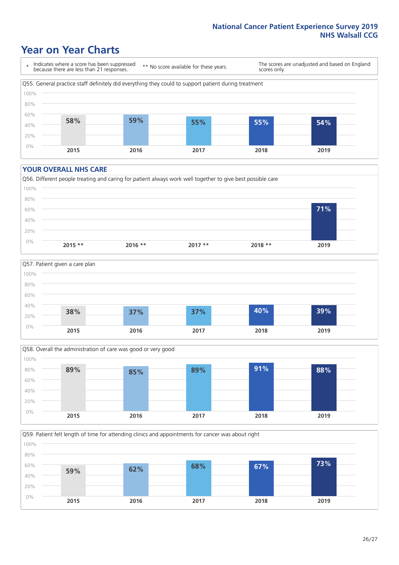### **Year on Year Charts**

\* Indicates where a score has been suppressed because there are less than 21 responses.

\*\* No score available for these years.

The scores are unadjusted and based on England scores only.



#### **YOUR OVERALL NHS CARE**







Q59. Patient felt length of time for attending clinics and appointments for cancer was about right